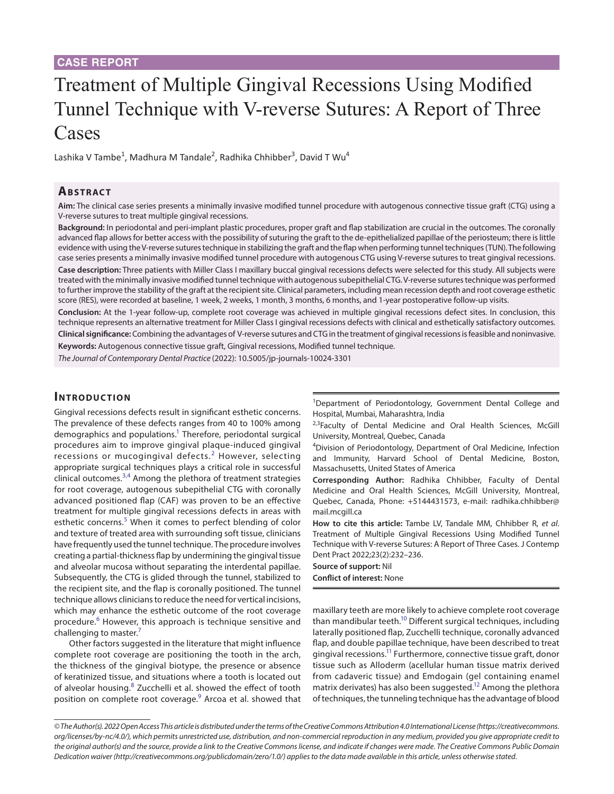# Treatment of Multiple Gingival Recessions Using Modified Tunnel Technique with V-reverse Sutures: A Report of Three Cases

Lashika V Tambe<sup>1</sup>, Madhura M Tandale<sup>2</sup>, Radhika Chhibber<sup>3</sup>, David T Wu<sup>4</sup>

## **ABSTRACT**

**Aim:** The clinical case series presents a minimally invasive modified tunnel procedure with autogenous connective tissue graft (CTG) using a V-reverse sutures to treat multiple gingival recessions.

**Background:** In periodontal and peri-implant plastic procedures, proper graft and flap stabilization are crucial in the outcomes. The coronally advanced flap allows for better access with the possibility of suturing the graft to the de-epithelialized papillae of the periosteum; there is little evidence with using the V-reverse sutures technique in stabilizing the graft and the flap when performing tunnel techniques (TUN). The following case series presents a minimally invasive modified tunnel procedure with autogenous CTG using V-reverse sutures to treat gingival recessions. **Case description:** Three patients with Miller Class I maxillary buccal gingival recessions defects were selected for this study. All subjects were treated with the minimally invasive modified tunnel technique with autogenous subepithelial CTG. V-reverse sutures technique was performed to further improve the stability of the graft at the recipient site. Clinical parameters, including mean recession depth and root coverage esthetic score (RES), were recorded at baseline, 1 week, 2 weeks, 1 month, 3 months, 6 months, and 1-year postoperative follow-up visits.

**Conclusion:** At the 1-year follow-up, complete root coverage was achieved in multiple gingival recessions defect sites. In conclusion, this technique represents an alternative treatment for Miller Class I gingival recessions defects with clinical and esthetically satisfactory outcomes. **Clinical significance:** Combining the advantages of V-reverse sutures and CTG in the treatment of gingival recessions is feasible and noninvasive. **Keywords:** Autogenous connective tissue graft, Gingival recessions, Modified tunnel technique.

*The Journal of Contemporary Dental Practice* (2022): 10.5005/jp-journals-10024-3301

## **INTRODUCTION**

Gingival recessions defects result in significant esthetic concerns. The prevalence of these defects ranges from 40 to 100% among demographics and populations.<sup>1</sup> Therefore, periodontal surgical procedures aim to improve gingival plaque-induced gingival recessions or mucogingival defects.<sup>[2](#page-4-1)</sup> However, selecting appropriate surgical techniques plays a critical role in successful clinical outcomes.<sup>[3](#page-4-2),[4](#page-4-3)</sup> Among the plethora of treatment strategies for root coverage, autogenous subepithelial CTG with coronally advanced positioned flap (CAF) was proven to be an effective treatment for multiple gingival recessions defects in areas with esthetic concerns.<sup>[5](#page-4-4)</sup> When it comes to perfect blending of color and texture of treated area with surrounding soft tissue, clinicians have frequently used the tunnel technique. The procedure involves creating a partial-thickness flap by undermining the gingival tissue and alveolar mucosa without separating the interdental papillae. Subsequently, the CTG is glided through the tunnel, stabilized to the recipient site, and the flap is coronally positioned. The tunnel technique allows clinicians to reduce the need for vertical incisions, which may enhance the esthetic outcome of the root coverage procedure.<sup>[6](#page-4-5)</sup> However, this approach is technique sensitive and challenging to master.<sup>[7](#page-4-6)</sup>

Other factors suggested in the literature that might influence complete root coverage are positioning the tooth in the arch, the thickness of the gingival biotype, the presence or absence of keratinized tissue, and situations where a tooth is located out of alveolar housing.<sup>[8](#page-4-7)</sup> Zucchelli et al. showed the effect of tooth position on complete root coverage.<sup>[9](#page-4-8)</sup> Arcoa et al. showed that

<sup>1</sup>Department of Periodontology, Government Dental College and Hospital, Mumbai, Maharashtra, India

<sup>2,3</sup>Faculty of Dental Medicine and Oral Health Sciences, McGill University, Montreal, Quebec, Canada

4 Division of Periodontology, Department of Oral Medicine, Infection and Immunity, Harvard School of Dental Medicine, Boston, Massachusetts, United States of America

**Corresponding Author:** Radhika Chhibber, Faculty of Dental Medicine and Oral Health Sciences, McGill University, Montreal, Quebec, Canada, Phone: +5144431573, e-mail: radhika.chhibber@ mail.mcgill.ca

**How to cite this article:** Tambe LV, Tandale MM, Chhibber R, *et al*. Treatment of Multiple Gingival Recessions Using Modified Tunnel Technique with V-reverse Sutures: A Report of Three Cases. J Contemp Dent Pract 2022;23(2):232–236.

**Source of support:** Nil **Conflict of interest:** None

maxillary teeth are more likely to achieve complete root coverage than mandibular teeth.<sup>10</sup> Different surgical techniques, including laterally positioned flap, Zucchelli technique, coronally advanced flap, and double papillae technique, have been described to treat gingival recessions[.11](#page-4-10) Furthermore, connective tissue graft, donor tissue such as Alloderm (acellular human tissue matrix derived from cadaveric tissue) and Emdogain (gel containing enamel matrix derivates) has also been suggested.<sup>12</sup> Among the plethora of techniques, the tunneling technique has the advantage of blood

*<sup>©</sup> The Author(s). 2022 Open Access This article is distributed under the terms of the Creative Commons Attribution 4.0 International License ([https://creativecommons.](https://creativecommons.org/licenses/by-nc/4.0/) [org/licenses/by-nc/4.0/](https://creativecommons.org/licenses/by-nc/4.0/)), which permits unrestricted use, distribution, and non-commercial reproduction in any medium, provided you give appropriate credit to the original author(s) and the source, provide a link to the Creative Commons license, and indicate if changes were made. The Creative Commons Public Domain Dedication waiver ([http://creativecommons.org/publicdomain/zero/1.0/\)](http://creativecommons.org/publicdomain/zero/1.0/) applies to the data made available in this article, unless otherwise stated.*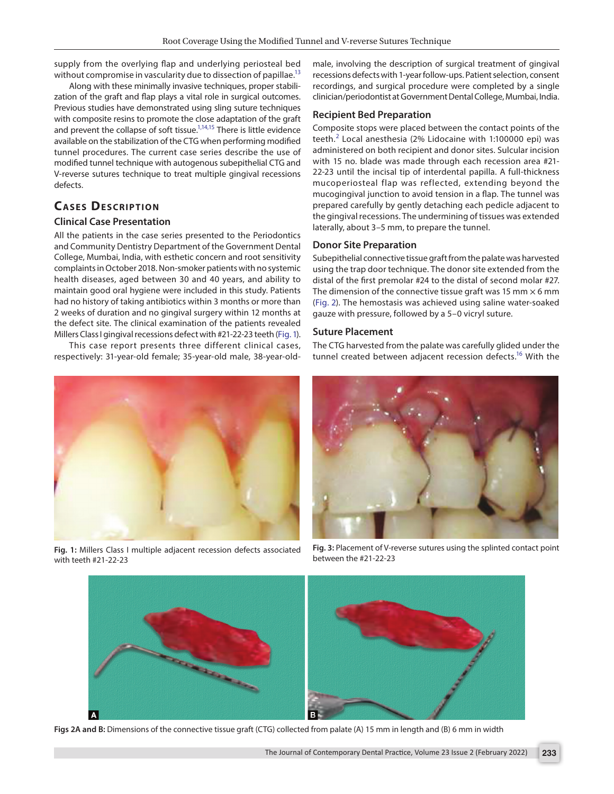supply from the overlying flap and underlying periosteal bed without compromise in vascularity due to dissection of papillae.<sup>13</sup>

Along with these minimally invasive techniques, proper stabilization of the graft and flap plays a vital role in surgical outcomes. Previous studies have demonstrated using sling suture techniques with composite resins to promote the close adaptation of the graft and prevent the collapse of soft tissue.<sup>1[,14](#page-4-13),15</sup> There is little evidence available on the stabilization of the CTG when performing modified tunnel procedures. The current case series describe the use of modified tunnel technique with autogenous subepithelial CTG and V-reverse sutures technique to treat multiple gingival recessions defects.

# **CASES DESCRIPTION**

## **Clinical Case Presentation**

All the patients in the case series presented to the Periodontics and Community Dentistry Department of the Government Dental College, Mumbai, India, with esthetic concern and root sensitivity complaints in October 2018. Non-smoker patients with no systemic health diseases, aged between 30 and 40 years, and ability to maintain good oral hygiene were included in this study. Patients had no history of taking antibiotics within 3 months or more than 2 weeks of duration and no gingival surgery within 12 months at the defect site. The clinical examination of the patients revealed Millers Class I gingival recessions defect with #21-22-23 teeth [\(Fig. 1\)](#page-1-0).

This case report presents three different clinical cases, respectively: 31-year-old female; 35-year-old male, 38-year-old-



**Fig. 1:** Millers Class I multiple adjacent recession defects associated with teeth #21-22-23

male, involving the description of surgical treatment of gingival recessions defects with 1-year follow-ups. Patient selection, consent recordings, and surgical procedure were completed by a single clinician/periodontist at Government Dental College, Mumbai, India.

## **Recipient Bed Preparation**

Composite stops were placed between the contact points of the teeth. $^2$  $^2$  Local anesthesia (2% Lidocaine with 1:100000 epi) was administered on both recipient and donor sites. Sulcular incision with 15 no. blade was made through each recession area #21- 22-23 until the incisal tip of interdental papilla. A full-thickness mucoperiosteal flap was reflected, extending beyond the mucogingival junction to avoid tension in a flap. The tunnel was prepared carefully by gently detaching each pedicle adjacent to the gingival recessions. The undermining of tissues was extended laterally, about 3–5 mm, to prepare the tunnel.

#### **Donor Site Preparation**

Subepithelial connective tissue graft from the palate was harvested using the trap door technique. The donor site extended from the distal of the first premolar #24 to the distal of second molar #27. The dimension of the connective tissue graft was 15 mm  $\times$  6 mm ([Fig. 2](#page-1-1)). The hemostasis was achieved using saline water-soaked gauze with pressure, followed by a 5–0 vicryl suture.

#### **Suture Placement**

The CTG harvested from the palate was carefully glided under the tunnel created between adjacent recession defects.<sup>16</sup> With the

<span id="page-1-2"></span>

**Fig. 3:** Placement of V-reverse sutures using the splinted contact point between the #21-22-23

<span id="page-1-1"></span><span id="page-1-0"></span>

**Figs 2A and B:** Dimensions of the connective tissue graft (CTG) collected from palate (A) 15 mm in length and (B) 6 mm in width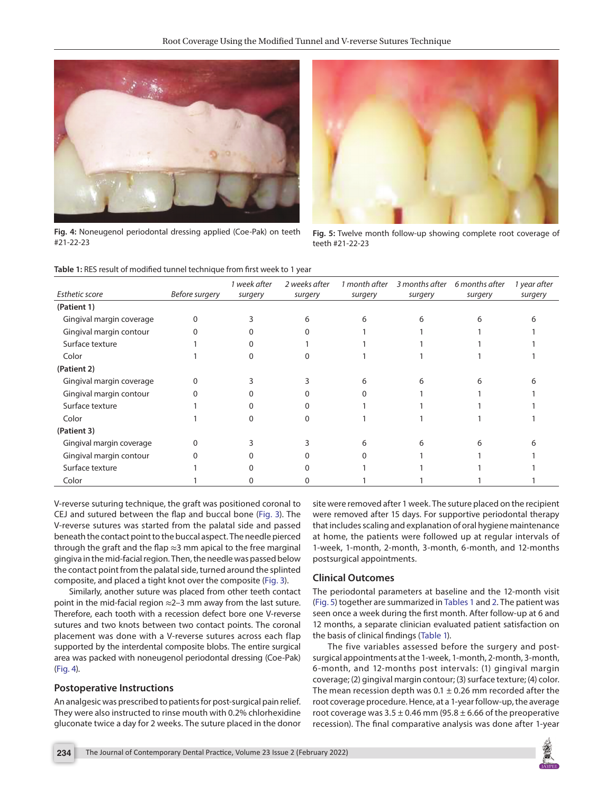

**Fig. 4:** Noneugenol periodontal dressing applied (Coe-Pak) on teeth #21-22-23

<span id="page-2-1"></span>

**Fig. 5:** Twelve month follow-up showing complete root coverage of teeth #21-22-23

<span id="page-2-2"></span><span id="page-2-0"></span>

|  | Table 1: RES result of modified tunnel technique from first week to 1 year |  |  |  |
|--|----------------------------------------------------------------------------|--|--|--|
|  |                                                                            |  |  |  |

|                          |                | 1 week after | 2 weeks after | 1 month after | 3 months after | 6 months after | 1 year after |
|--------------------------|----------------|--------------|---------------|---------------|----------------|----------------|--------------|
| <b>Esthetic score</b>    | Before surgery | surgery      | surgery       | surgery       | surgery        | surgery        | surgery      |
| (Patient 1)              |                |              |               |               |                |                |              |
| Gingival margin coverage |                |              | 6             | 6             | 6              | 6              |              |
| Gingival margin contour  |                |              |               |               |                |                |              |
| Surface texture          |                |              |               |               |                |                |              |
| Color                    |                |              |               |               |                |                |              |
| (Patient 2)              |                |              |               |               |                |                |              |
| Gingival margin coverage |                |              |               | h             | h              |                |              |
| Gingival margin contour  |                |              |               |               |                |                |              |
| Surface texture          |                |              |               |               |                |                |              |
| Color                    |                |              |               |               |                |                |              |
| (Patient 3)              |                |              |               |               |                |                |              |
| Gingival margin coverage |                |              |               |               | h              |                |              |
| Gingival margin contour  |                |              |               |               |                |                |              |
| Surface texture          |                |              |               |               |                |                |              |
| Color                    |                |              |               |               |                |                |              |

V-reverse suturing technique, the graft was positioned coronal to CEJ and sutured between the flap and buccal bone [\(Fig. 3\)](#page-1-2). The V-reverse sutures was started from the palatal side and passed beneath the contact point to the buccal aspect. The needle pierced through the graft and the flap  $\approx$ 3 mm apical to the free marginal gingiva in the mid-facial region. Then, the needle was passed below the contact point from the palatal side, turned around the splinted composite, and placed a tight knot over the composite [\(Fig. 3\)](#page-1-2).

Similarly, another suture was placed from other teeth contact point in the mid-facial region  $\approx$ 2–3 mm away from the last suture. Therefore, each tooth with a recession defect bore one V-reverse sutures and two knots between two contact points. The coronal placement was done with a V-reverse sutures across each flap supported by the interdental composite blobs. The entire surgical area was packed with noneugenol periodontal dressing (Coe-Pak) [\(Fig. 4\)](#page-2-0).

#### **Postoperative Instructions**

An analgesic was prescribed to patients for post-surgical pain relief. They were also instructed to rinse mouth with 0.2% chlorhexidine gluconate twice a day for 2 weeks. The suture placed in the donor site were removed after 1 week. The suture placed on the recipient were removed after 15 days. For supportive periodontal therapy that includes scaling and explanation of oral hygiene maintenance at home, the patients were followed up at regular intervals of 1-week, 1-month, 2-month, 3-month, 6-month, and 12-months postsurgical appointments.

## **Clinical Outcomes**

The periodontal parameters at baseline and the 12-month visit [\(Fig. 5\)](#page-2-1) together are summarized in [Tables 1](#page-2-2) and [2.](#page-3-0) The patient was seen once a week during the first month. After follow-up at 6 and 12 months, a separate clinician evaluated patient satisfaction on the basis of clinical findings ([Table 1\)](#page-2-2).

The five variables assessed before the surgery and postsurgical appointments at the 1-week, 1-month, 2-month, 3-month, 6-month, and 12-months post intervals: (1) gingival margin coverage; (2) gingival margin contour; (3) surface texture; (4) color. The mean recession depth was 0.1  $\pm$  0.26 mm recorded after the root coverage procedure. Hence, at a 1-year follow-up, the average root coverage was  $3.5 \pm 0.46$  mm (95.8  $\pm$  6.66 of the preoperative recession). The final comparative analysis was done after 1-year

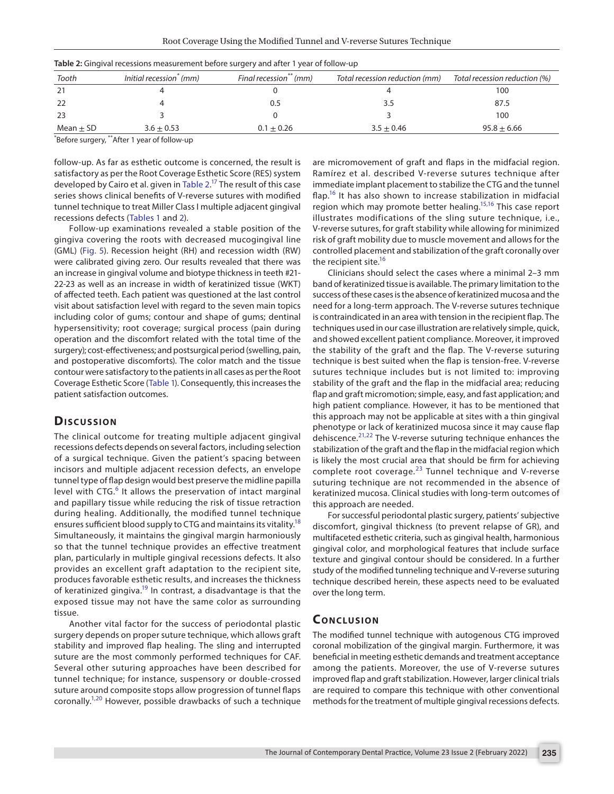| Tooth         | Initial recession <sup>*</sup> (mm) | Final recession <sup>**</sup> (mm) | Total recession reduction (mm) | Total recession reduction (%) |
|---------------|-------------------------------------|------------------------------------|--------------------------------|-------------------------------|
| 21            |                                     |                                    |                                | 100                           |
|               |                                     | 0.5                                |                                | 87.5                          |
|               |                                     |                                    |                                | 100                           |
| Mean $\pm$ SD | $3.6 \pm 0.53$                      | $0.1 \pm 0.26$                     | $3.5 + 0.46$                   | $95.8 \pm 6.66$               |

<span id="page-3-0"></span>

|  | Table 2: Gingival recessions measurement before surgery and after 1 year of follow-up |  |  |  |
|--|---------------------------------------------------------------------------------------|--|--|--|
|--|---------------------------------------------------------------------------------------|--|--|--|

\* Before surgery, \*\*After 1 year of follow-up

follow-up. As far as esthetic outcome is concerned, the result is satisfactory as per the Root Coverage Esthetic Score (RES) system developed by Cairo et al. given in [Table 2](#page-3-0).<sup>17</sup> The result of this case series shows clinical benefits of V-reverse sutures with modified tunnel technique to treat Miller Class I multiple adjacent gingival recessions defects ([Tables 1](#page-2-2) and [2\)](#page-3-0).

Follow-up examinations revealed a stable position of the gingiva covering the roots with decreased mucogingival line (GML) [\(Fig. 5\)](#page-2-1). Recession height (RH) and recession width (RW) were calibrated giving zero. Our results revealed that there was an increase in gingival volume and biotype thickness in teeth #21- 22-23 as well as an increase in width of keratinized tissue (WKT) of affected teeth. Each patient was questioned at the last control visit about satisfaction level with regard to the seven main topics including color of gums; contour and shape of gums; dentinal hypersensitivity; root coverage; surgical process (pain during operation and the discomfort related with the total time of the surgery); cost-effectiveness; and postsurgical period (swelling, pain, and postoperative discomforts). The color match and the tissue contour were satisfactory to the patients in all cases as per the Root Coverage Esthetic Score ([Table 1](#page-2-2)). Consequently, this increases the patient satisfaction outcomes.

## **Discussion**

The clinical outcome for treating multiple adjacent gingival recessions defects depends on several factors, including selection of a surgical technique. Given the patient's spacing between incisors and multiple adjacent recession defects, an envelope tunnel type of flap design would best preserve the midline papilla level with CTG.<sup>[6](#page-4-5)</sup> It allows the preservation of intact marginal and papillary tissue while reducing the risk of tissue retraction during healing. Additionally, the modified tunnel technique ensures sufficient blood supply to CTG and maintains its vitality.<sup>18</sup> Simultaneously, it maintains the gingival margin harmoniously so that the tunnel technique provides an effective treatment plan, particularly in multiple gingival recessions defects. It also provides an excellent graft adaptation to the recipient site, produces favorable esthetic results, and increases the thickness of keratinized gingiva.<sup>19</sup> In contrast, a disadvantage is that the exposed tissue may not have the same color as surrounding tissue.

Another vital factor for the success of periodontal plastic surgery depends on proper suture technique, which allows graft stability and improved flap healing. The sling and interrupted suture are the most commonly performed techniques for CAF. Several other suturing approaches have been described for tunnel technique; for instance, suspensory or double-crossed suture around composite stops allow progression of tunnel flaps coronally[.1,](#page-4-0)[20](#page-4-19) However, possible drawbacks of such a technique are micromovement of graft and flaps in the midfacial region. Ramírez et al. described V-reverse sutures technique after immediate implant placement to stabilize the CTG and the tunnel flap.<sup>16</sup> It has also shown to increase stabilization in midfacial region which may promote better healing.<sup>15,16</sup> This case report illustrates modifications of the sling suture technique, i.e., V-reverse sutures, for graft stability while allowing for minimized risk of graft mobility due to muscle movement and allows for the controlled placement and stabilization of the graft coronally over the recipient site.<sup>16</sup>

Clinicians should select the cases where a minimal 2–3 mm band of keratinized tissue is available. The primary limitation to the success of these cases is the absence of keratinized mucosa and the need for a long-term approach. The V-reverse sutures technique is contraindicated in an area with tension in the recipient flap. The techniques used in our case illustration are relatively simple, quick, and showed excellent patient compliance. Moreover, it improved the stability of the graft and the flap. The V-reverse suturing technique is best suited when the flap is tension-free. V-reverse sutures technique includes but is not limited to: improving stability of the graft and the flap in the midfacial area; reducing flap and graft micromotion; simple, easy, and fast application; and high patient compliance. However, it has to be mentioned that this approach may not be applicable at sites with a thin gingival phenotype or lack of keratinized mucosa since it may cause flap dehiscence. $2^{1,22}$  $2^{1,22}$  $2^{1,22}$  The V-reverse suturing technique enhances the stabilization of the graft and the flap in the midfacial region which is likely the most crucial area that should be firm for achieving complete root coverage. $^{23}$  Tunnel technique and V-reverse suturing technique are not recommended in the absence of keratinized mucosa. Clinical studies with long-term outcomes of this approach are needed.

For successful periodontal plastic surgery, patients' subjective discomfort, gingival thickness (to prevent relapse of GR), and multifaceted esthetic criteria, such as gingival health, harmonious gingival color, and morphological features that include surface texture and gingival contour should be considered. In a further study of the modified tunneling technique and V-reverse suturing technique described herein, these aspects need to be evaluated over the long term.

## **CONCLUSION**

The modified tunnel technique with autogenous CTG improved coronal mobilization of the gingival margin. Furthermore, it was beneficial in meeting esthetic demands and treatment acceptance among the patients. Moreover, the use of V-reverse sutures improved flap and graft stabilization. However, larger clinical trials are required to compare this technique with other conventional methods for the treatment of multiple gingival recessions defects.